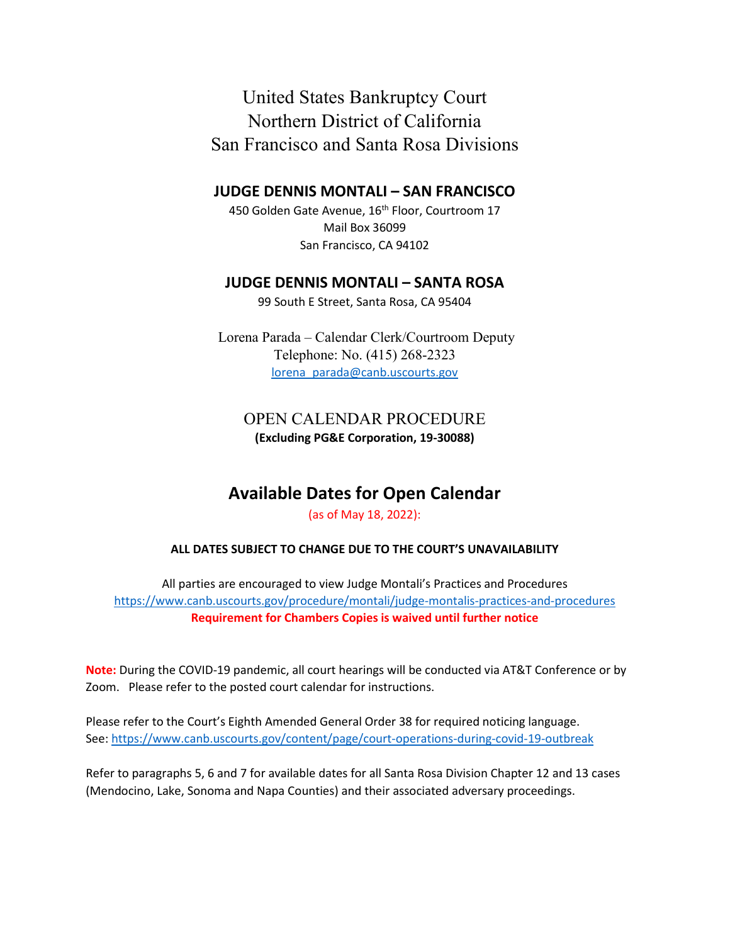United States Bankruptcy Court Northern District of California San Francisco and Santa Rosa Divisions

## **JUDGE DENNIS MONTALI – SAN FRANCISCO**

450 Golden Gate Avenue, 16<sup>th</sup> Floor, Courtroom 17 Mail Box 36099 San Francisco, CA 94102

## **JUDGE DENNIS MONTALI – SANTA ROSA**

99 South E Street, Santa Rosa, CA 95404

Lorena Parada – Calendar Clerk/Courtroom Deputy Telephone: No. (415) 268-2323 [lorena parada@canb.uscourts.gov](mailto:lorena_parada@canb.uscourts.gov) 

## OPEN CALENDAR PROCEDURE **(Excluding PG&E Corporation, 19-30088)**

# **Available Dates for Open Calendar**

#### (as of May 18, 2022):

#### **ALL DATES SUBJECT TO CHANGE DUE TO THE COURT'S UNAVAILABILITY**

All parties are encouraged to view Judge Montali's Practices and Procedures <https://www.canb.uscourts.gov/procedure/montali/judge-montalis-practices-and-procedures> **Requirement for Chambers Copies is waived until further notice** 

**Note:** During the COVID-19 pandemic, all court hearings will be conducted via AT&T Conference or by Zoom. Please refer to the posted court calendar for instructions.

Please refer to the Court's Eighth Amended General Order 38 for required noticing language. See[: https://www.canb.uscourts.gov/content/page/court-operations-during-covid-19-outbreak](https://www.canb.uscourts.gov/content/page/court-operations-during-covid-19-outbreak) 

Refer to paragraphs 5, 6 and 7 for available dates for all Santa Rosa Division Chapter 12 and 13 cases (Mendocino, Lake, Sonoma and Napa Counties) and their associated adversary proceedings.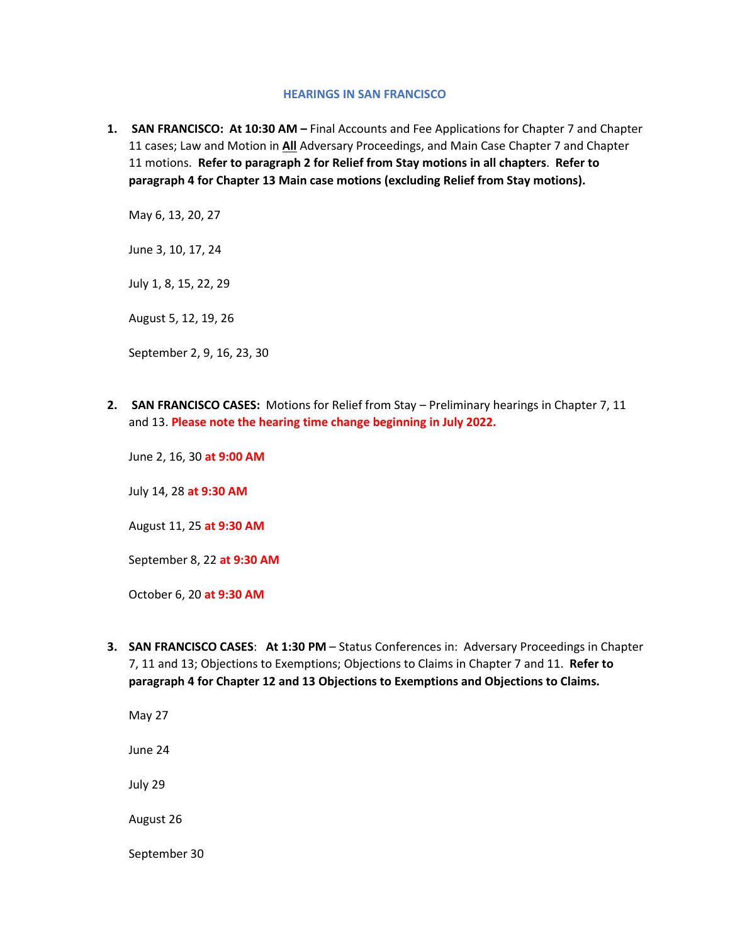#### **HEARINGS IN SAN FRANCISCO**

**1. SAN FRANCISCO: At 10:30 AM –** Final Accounts and Fee Applications for Chapter 7 and Chapter 11 cases; Law and Motion in **All** Adversary Proceedings, and Main Case Chapter 7 and Chapter 11 motions. **Refer to paragraph 2 for Relief from Stay motions in all chapters**. **Refer to paragraph 4 for Chapter 13 Main case motions (excluding Relief from Stay motions).** 

May 6, 13, 20, 27

June 3, 10, 17, 24

July 1, 8, 15, 22, 29

August 5, 12, 19, 26

September 2, 9, 16, 23, 30

**2. SAN FRANCISCO CASES:** Motions for Relief from Stay – Preliminary hearings in Chapter 7, 11 and 13. **Please note the hearing time change beginning in July 2022.**

June 2, 16, 30 **at 9:00 AM**

July 14, 28 **at 9:30 AM**

August 11, 25 **at 9:30 AM**

September 8, 22 **at 9:30 AM**

October 6, 20 **at 9:30 AM**

**3. SAN FRANCISCO CASES**: **At 1:30 PM** – Status Conferences in: Adversary Proceedings in Chapter 7, 11 and 13; Objections to Exemptions; Objections to Claims in Chapter 7 and 11. **Refer to paragraph 4 for Chapter 12 and 13 Objections to Exemptions and Objections to Claims.**

May 27 June 24 July 29 August 26 September 30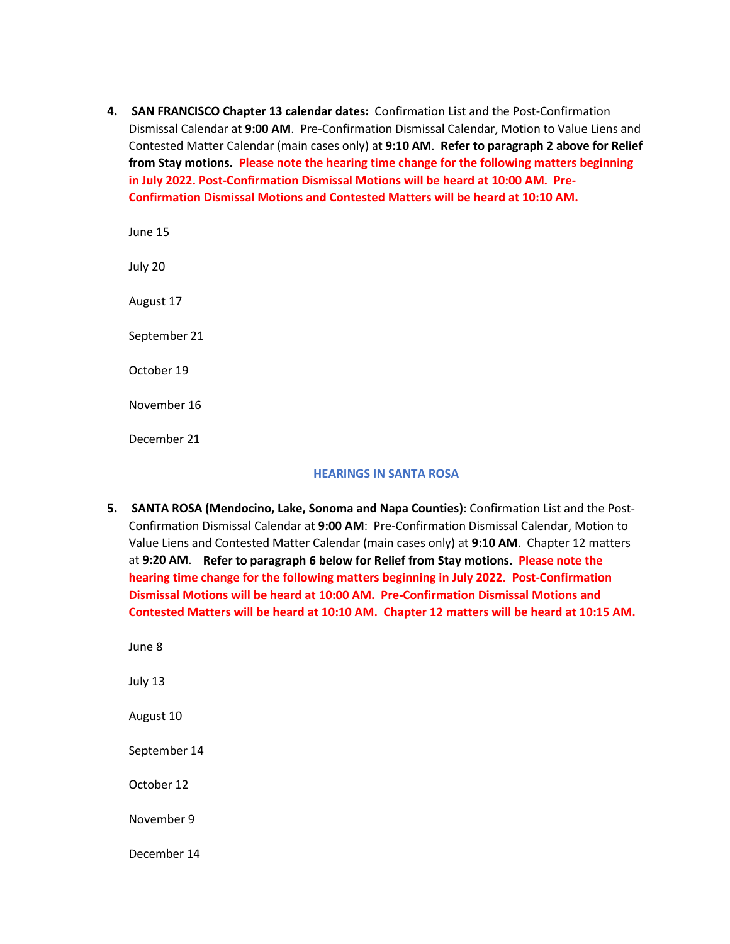**4. SAN FRANCISCO Chapter 13 calendar dates:** Confirmation List and the Post-Confirmation Dismissal Calendar at **9:00 AM**. Pre-Confirmation Dismissal Calendar, Motion to Value Liens and Contested Matter Calendar (main cases only) at **9:10 AM**. **Refer to paragraph 2 above for Relief from Stay motions. Please note the hearing time change for the following matters beginning in July 2022. Post-Confirmation Dismissal Motions will be heard at 10:00 AM. Pre-Confirmation Dismissal Motions and Contested Matters will be heard at 10:10 AM.**

June 15 July 20 August 17 September 21 October 19 November 16 December 21

#### **HEARINGS IN SANTA ROSA**

- **5. SANTA ROSA (Mendocino, Lake, Sonoma and Napa Counties)**: Confirmation List and the Post-Confirmation Dismissal Calendar at **9:00 AM**: Pre-Confirmation Dismissal Calendar, Motion to Value Liens and Contested Matter Calendar (main cases only) at **9:10 AM**. Chapter 12 matters at **9:20 AM**. **Refer to paragraph 6 below for Relief from Stay motions. Please note the hearing time change for the following matters beginning in July 2022. Post-Confirmation Dismissal Motions will be heard at 10:00 AM. Pre-Confirmation Dismissal Motions and Contested Matters will be heard at 10:10 AM. Chapter 12 matters will be heard at 10:15 AM.** 
	- June 8 July 13 August 10 September 14 October 12 November 9 December 14